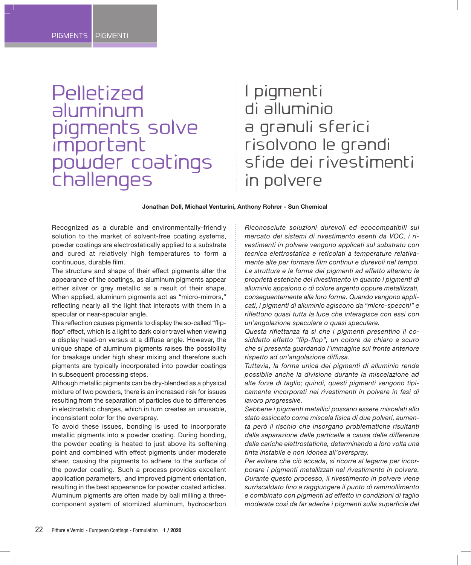# **Pelletized** aluminum pigments solve important powder coatings challenges

# I pigmenti di alluminio a granuli sferici risolvono le grandi sfide dei rivestimenti in polvere

#### **Jonathan Doll, Michael Venturini, Anthony Rohrer - Sun Chemical**

Recognized as a durable and environmentally-friendly solution to the market of solvent-free coating systems, powder coatings are electrostatically applied to a substrate and cured at relatively high temperatures to form a continuous, durable film.

The structure and shape of their effect pigments alter the appearance of the coatings, as aluminum pigments appear either silver or grey metallic as a result of their shape. When applied, aluminum pigments act as "micro-mirrors," reflecting nearly all the light that interacts with them in a specular or near-specular angle.

This reflection causes pigments to display the so-called "flipflop" effect, which is a light to dark color travel when viewing a display head-on versus at a diffuse angle. However, the unique shape of aluminum pigments raises the possibility for breakage under high shear mixing and therefore such pigments are typically incorporated into powder coatings in subsequent processing steps.

Although metallic pigments can be dry-blended as a physical mixture of two powders, there is an increased risk for issues resulting from the separation of particles due to differences in electrostatic charges, which in turn creates an unusable, inconsistent color for the overspray.

To avoid these issues, bonding is used to incorporate metallic pigments into a powder coating. During bonding, the powder coating is heated to just above its softening point and combined with effect pigments under moderate shear, causing the pigments to adhere to the surface of the powder coating. Such a process provides excellent application parameters, and improved pigment orientation, resulting in the best appearance for powder coated articles. Aluminum pigments are often made by ball milling a threecomponent system of atomized aluminum, hydrocarbon

*Riconosciute soluzioni durevoli ed ecocompatibili sul mercato dei sistemi di rivestimento esenti da VOC, i rivestimenti in polvere vengono applicati sul substrato con tecnica elettrostatica e reticolati a temperature relativamente alte per formare film continui e durevoli nel tempo. La struttura e la forma dei pigmenti ad effetto alterano le proprietà estetiche del rivestimento in quanto i pigmenti di alluminio appaiono o di colore argento oppure metallizzati, conseguentemente alla loro forma. Quando vengono applicati, i pigmenti di alluminio agiscono da "micro-specchi" e riflettono quasi tutta la luce che interagisce con essi con un'angolazione speculare o quasi speculare.*

*Questa riflettanza fa sì che i pigmenti presentino il cosiddetto effetto "flip-flop", un colore da chiaro a scuro che si presenta guardando l'immagine sul fronte anteriore rispetto ad un'angolazione diffusa.*

*Tuttavia, la forma unica dei pigmenti di alluminio rende possibile anche la divisione durante la miscelazione ad alte forze di taglio; quindi, questi pigmenti vengono tipicamente incorporati nei rivestimenti in polvere in fasi di lavoro progressive.*

*Sebbene i pigmenti metallici possano essere miscelati allo stato essiccato come miscela fisica di due polveri, aumenta però il rischio che insorgano problematiche risultanti dalla separazione delle particelle a causa delle differenze delle cariche elettrostatiche, determinando a loro volta una tinta instabile e non idonea all'overspray.*

*Per evitare che ciò accada, si ricorre al legame per incorporare i pigmenti metallizzati nel rivestimento in polvere. Durante questo processo, il rivestimento in polvere viene surriscaldato fino a raggiungere il punto di rammollimento e combinato con pigmenti ad effetto in condizioni di taglio moderate così da far aderire i pigmenti sulla superficie del*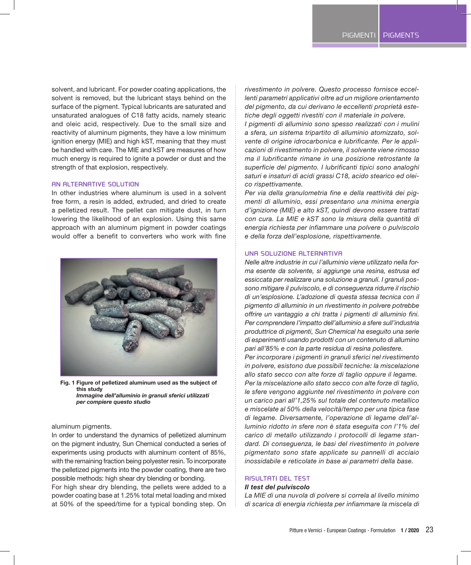solvent, and lubricant. For powder coating applications, the solvent is removed, but the lubricant stays behind on the surface of the pigment. Typical lubricants are saturated and unsaturated analogues of C18 fatty acids, namely stearic and oleic acid, respectively. Due to the small size and reactivity of aluminum pigments, they have a low minimum ignition energy (MIE) and high kST, meaning that they must be handled with care. The MIE and kST are measures of how much energy is required to ignite a powder or dust and the strength of that explosion, respectively.

## **AN ALTERNATIVE SOLUTION**

In other industries where aluminum is used in a solvent free form, a resin is added, extruded, and dried to create a pelletized result. The pellet can mitigate dust, in turn lowering the likelihood of an explosion. Using this same approach with an aluminum pigment in powder coatings would offer a benefit to converters who work with fine



**Fig. 1 Figure of pelletized aluminum used as the subject of this study**  *Immagine dell'alluminio in granuli sferici utilizzati per compiere questo studio*

## aluminum pigments.

In order to understand the dynamics of pelletized aluminum on the pigment industry, Sun Chemical conducted a series of experiments using products with aluminum content of 85%, with the remaining fraction being polyester resin. To incorporate the pelletized pigments into the powder coating, there are two possible methods: high shear dry blending or bonding.

For high shear dry blending, the pellets were added to a powder coating base at 1.25% total metal loading and mixed at 50% of the speed/time for a typical bonding step. On *rivestimento in polvere. Questo processo fornisce eccellenti parametri applicativi oltre ad un migliore orientamento del pigmento, da cui derivano le eccellenti proprietà estetiche degli oggetti rivestiti con il materiale in polvere.*

*I pigmenti di alluminio sono spesso realizzati con i mulini a sfera, un sistema tripartito di alluminio atomizzato, solvente di origine idrocarbonica e lubrificante. Per le applicazioni di rivestimento in polvere, il solvente viene rimosso ma il lubrificante rimane in una posizione retrostante la superficie del pigmento. I lubrificanti tipici sono analoghi saturi e insaturi di acidi grassi C18, acido stearico ed oleico rispettivamente.*

*Per via della granulometria fine e della reattività dei pigmenti di alluminio, essi presentano una minima energia d'ignizione (MIE) e alto kST, quindi devono essere trattati con cura. La MIE e kST sono la misura della quantità di energia richiesta per infiammare una polvere o pulviscolo e della forza dell'esplosione, rispettivamente.*

## **UNA SOLUZIONE ALTERNATIVA**

*Nelle altre industrie in cui l'alluminio viene utilizzato nella forma esente da solvente, si aggiunge una resina, estrusa ed essiccata per realizzare una soluzione a granuli. I granuli possono mitigare il pulviscolo, e di conseguenza ridurre il rischio di un'esplosione. L'adozione di questa stessa tecnica con il pigmento di alluminio in un rivestimento in polvere potrebbe offrire un vantaggio a chi tratta i pigmenti di alluminio fini. Per comprendere l'impatto dell'alluminio a sfere sull'industria produttrice di pigmenti, Sun Chemical ha eseguito una serie di esperimenti usando prodotti con un contenuto di allumino pari all'85% e con la parte residua di resina poliestere. Per incorporare i pigmenti in granuli sferici nel rivestimento in polvere, esistono due possibili tecniche: la miscelazione allo stato secco con alte forze di taglio oppure il legame. Per la miscelazione allo stato secco con alte forze di taglio, le sfere vengono aggiunte nel rivestimento in polvere con un carico pari all'1,25% sul totale del contenuto metallico e miscelate al 50% della velocità/tempo per una tipica fase di legame. Diversamente, l'operazione di legame dell'alluminio ridotto in sfere non è stata eseguita con l'1% del carico di metallo utilizzando i protocolli di legame standard. Di conseguenza, le basi del rivestimento in polvere pigmentato sono state applicate su pannelli di acciaio inossidabile e reticolate in base ai parametri della base.*

## **RISULTATI DEL TEST**

#### *Il test del pulviscolo*

*La MIE di una nuvola di polvere si correla al livello minimo di scarica di energia richiesta per infiammare la miscela di*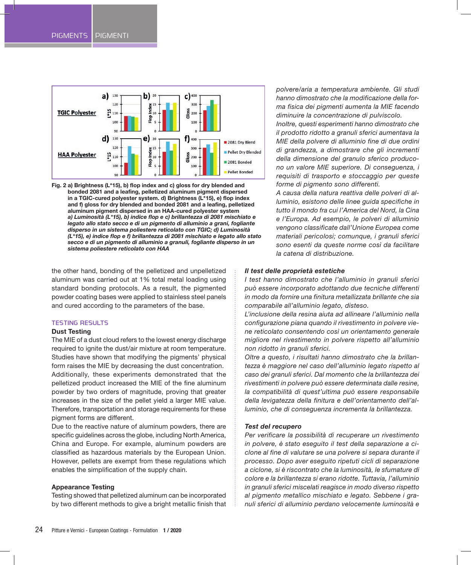

**Fig. 2 a) Brightness (L\*15), b) flop index and c) gloss for dry blended and bonded 2081 and a leafing, pelletized aluminum pigment dispersed in a TGIC-cured polyester system. d) Brightness (L\*15), e) flop index and f) gloss for dry blended and bonded 2081 and a leafing, pelletized aluminum pigment dispersed in an HAA-cured polyester system**  *a) Luminosità (L\*15), b) indice flop e c) brillantezza di 2081 mischiato e legato allo stato secco e di un pigmento di alluminio a grani, fogliante disperso in un sistema poliestere reticolato con TGIC; d) Luminosità (L\*15), e) indice flop e f) brillantezza di 2081 mischiato e legato allo stato secco e di un pigmento di alluminio a granuli, fogliante disperso in un sistema poliestere reticolato con HAA*

the other hand, bonding of the pelletized and unpelletized aluminum was carried out at 1% total metal loading using standard bonding protocols. As a result, the pigmented powder coating bases were applied to stainless steel panels and cured according to the parameters of the base.

## **TESTING RESULTS**

## **Dust Testing**

The MIE of a dust cloud refers to the lowest energy discharge required to ignite the dust/air mixture at room temperature. Studies have shown that modifying the pigments' physical form raises the MIE by decreasing the dust concentration. Additionally, these experiments demonstrated that the pelletized product increased the MIE of the fine aluminum powder by two orders of magnitude, proving that greater increases in the size of the pellet yield a larger MIE value. Therefore, transportation and storage requirements for these pigment forms are different.

Due to the reactive nature of aluminum powders, there are specific guidelines across the globe, including North America, China and Europe. For example, aluminum powders are classified as hazardous materials by the European Union. However, pellets are exempt from these regulations which enables the simplification of the supply chain.

#### **Appearance Testing**

Testing showed that pelletized aluminum can be incorporated by two different methods to give a bright metallic finish that *polvere/aria a temperatura ambiente. Gli studi hanno dimostrato che la modificazione della forma fisica dei pigmenti aumenta la MIE facendo diminuire la concentrazione di pulviscolo.*

*Inoltre, questi esperimenti hanno dimostrato che il prodotto ridotto a granuli sferici aumentava la MIE della polvere di alluminio fine di due ordini di grandezza, a dimostrare che gli incrementi della dimensione del granulo sferico producono un valore MIE superiore. Di conseguenza, i requisiti di trasporto e stoccaggio per queste forme di pigmento sono differenti.*

*A causa della natura reattiva delle polveri di alluminio, esistono delle linee guida specifiche in tutto il mondo fra cui l'America del Nord, la Cina e l'Europa. Ad esempio, le polveri di alluminio vengono classificate dall'Unione Europea come materiali pericolosi; comunque, i granuli sferici sono esenti da queste norme così da facilitare la catena di distribuzione.*

## *Il test delle proprietà estetiche*

*I test hanno dimostrato che l'alluminio in granuli sferici può essere incorporato adottando due tecniche differenti in modo da fornire una finitura metallizzata brillante che sia comparabile all'alluminio legato, disteso.*

*L'inclusione della resina aiuta ad allineare l'alluminio nella configurazione piana quando il rivestimento in polvere viene reticolato consentendo così un orientamento generale migliore nel rivestimento in polvere rispetto all'alluminio non ridotto in granuli sferici.*

*Oltre a questo, i risultati hanno dimostrato che la brillantezza è maggiore nel caso dell'alluminio legato rispetto al caso dei granuli sferici. Dal momento che la brillantezza dei rivestimenti in polvere può essere determinata dalle resine, la compatibilità di quest'ultima può essere responsabile della levigatezza della finitura e dell'orientamento dell'alluminio, che di conseguenza incrementa la brillantezza.*

## *Test del recupero*

*Per verificare la possibilità di recuperare un rivestimento in polvere, è stato eseguito il test della separazione a ciclone al fine di valutare se una polvere si separa durante il processo. Dopo aver eseguito ripetuti cicli di separazione a ciclone, si è riscontrato che la luminosità, le sfumature di colore e la brillantezza si erano ridotte. Tuttavia, l'alluminio in granuli sferici miscelati reagisce in modo diverso rispetto al pigmento metallico mischiato e legato. Sebbene i granuli sferici di alluminio perdano velocemente luminosità e*